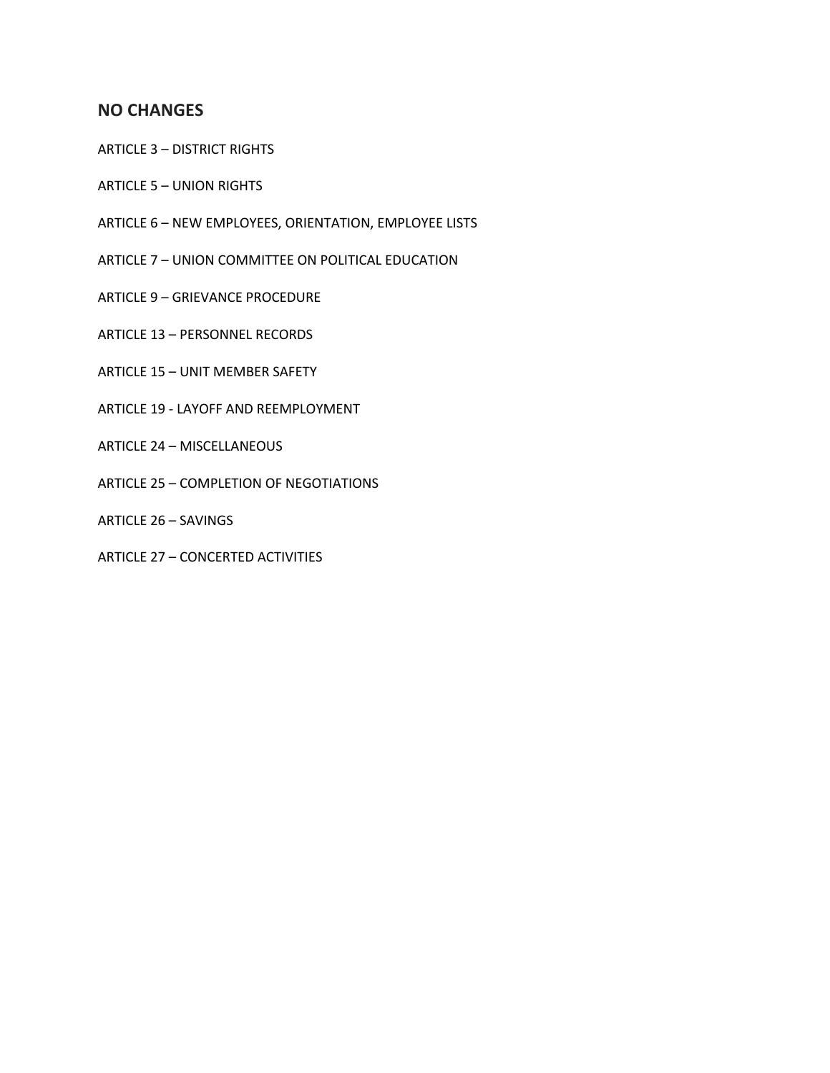# **NO CHANGES**

- ARTICLE 3 DISTRICT RIGHTS
- ARTICLE 5 UNION RIGHTS
- ARTICLE 6 NEW EMPLOYEES, ORIENTATION, EMPLOYEE LISTS
- ARTICLE 7 UNION COMMITTEE ON POLITICAL EDUCATION
- ARTICLE 9 GRIEVANCE PROCEDURE
- ARTICLE 13 PERSONNEL RECORDS
- ARTICLE 15 UNIT MEMBER SAFETY
- ARTICLE 19 LAYOFF AND REEMPLOYMENT
- ARTICLE 24 MISCELLANEOUS
- ARTICLE 25 COMPLETION OF NEGOTIATIONS
- ARTICLE 26 SAVINGS
- ARTICLE 27 CONCERTED ACTIVITIES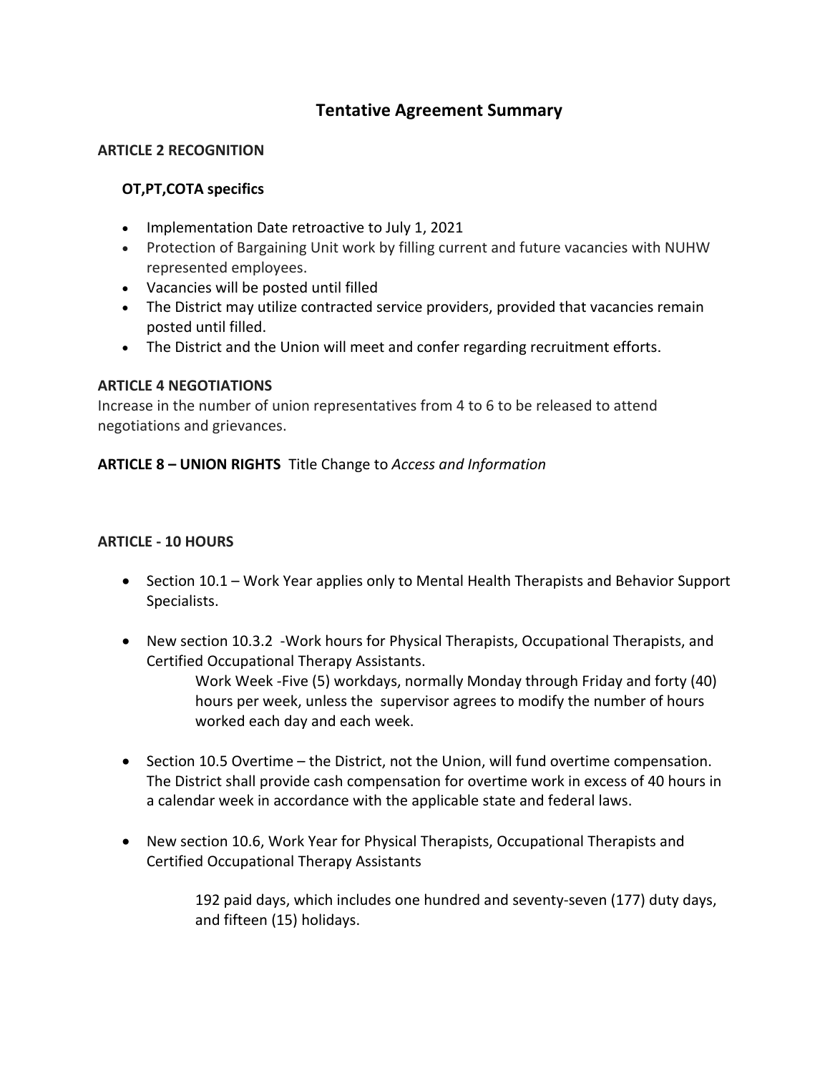# **Tentative Agreement Summary**

## **ARTICLE 2 RECOGNITION**

# **OT,PT,COTA specifics**

- Implementation Date retroactive to July 1, 2021
- Protection of Bargaining Unit work by filling current and future vacancies with NUHW represented employees.
- Vacancies will be posted until filled
- The District may utilize contracted service providers, provided that vacancies remain posted until filled.
- The District and the Union will meet and confer regarding recruitment efforts.

### **ARTICLE 4 NEGOTIATIONS**

Increase in the number of union representatives from 4 to 6 to be released to attend negotiations and grievances.

## **ARTICLE 8 – UNION RIGHTS** Title Change to *Access and Information*

### **ARTICLE - 10 HOURS**

- Section 10.1 Work Year applies only to Mental Health Therapists and Behavior Support Specialists.
- New section 10.3.2 -Work hours for Physical Therapists, Occupational Therapists, and Certified Occupational Therapy Assistants.

Work Week -Five (5) workdays, normally Monday through Friday and forty (40) hours per week, unless the supervisor agrees to modify the number of hours worked each day and each week.

- Section 10.5 Overtime the District, not the Union, will fund overtime compensation. The District shall provide cash compensation for overtime work in excess of 40 hours in a calendar week in accordance with the applicable state and federal laws.
- New section 10.6, Work Year for Physical Therapists, Occupational Therapists and Certified Occupational Therapy Assistants

192 paid days, which includes one hundred and seventy-seven (177) duty days, and fifteen (15) holidays.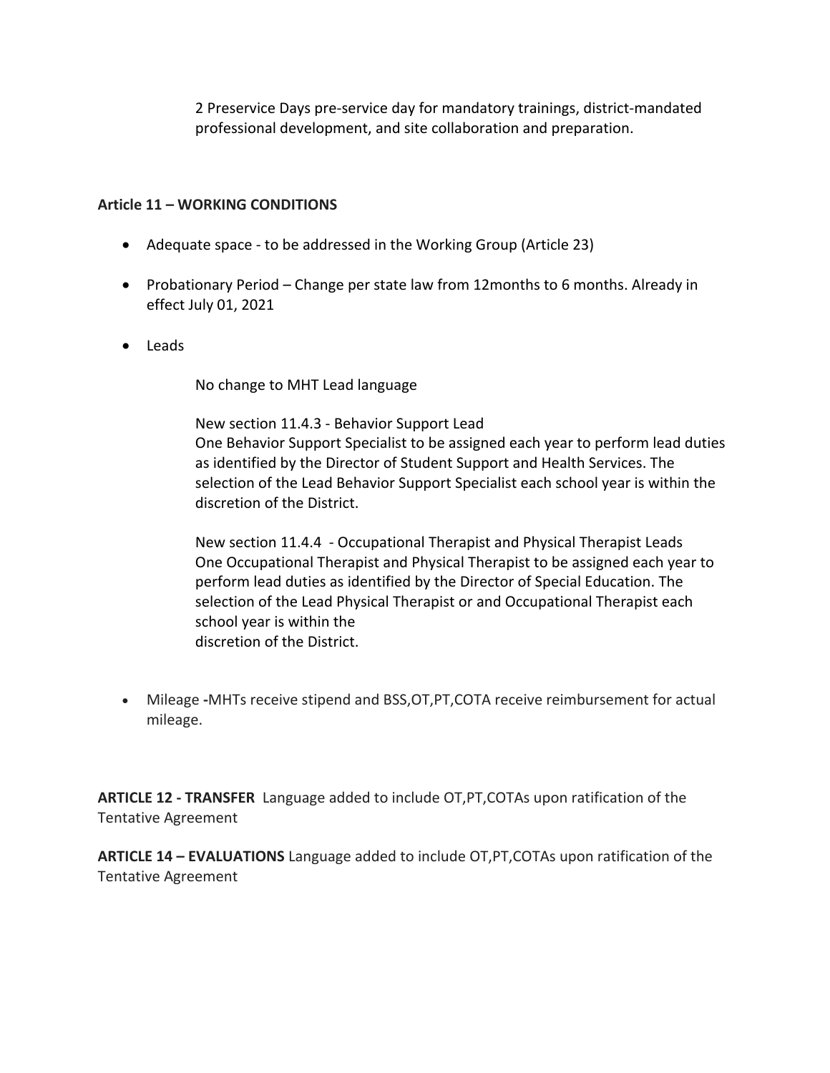2 Preservice Days pre-service day for mandatory trainings, district-mandated professional development, and site collaboration and preparation.

# **Article 11 – WORKING CONDITIONS**

- Adequate space to be addressed in the Working Group (Article 23)
- Probationary Period Change per state law from 12months to 6 months. Already in effect July 01, 2021
- Leads

No change to MHT Lead language

New section 11.4.3 - Behavior Support Lead One Behavior Support Specialist to be assigned each year to perform lead duties as identified by the Director of Student Support and Health Services. The selection of the Lead Behavior Support Specialist each school year is within the discretion of the District.

New section 11.4.4 - Occupational Therapist and Physical Therapist Leads One Occupational Therapist and Physical Therapist to be assigned each year to perform lead duties as identified by the Director of Special Education. The selection of the Lead Physical Therapist or and Occupational Therapist each school year is within the discretion of the District.

• Mileage **-**MHTs receive stipend and BSS,OT,PT,COTA receive reimbursement for actual mileage.

**ARTICLE 12 - TRANSFER** Language added to include OT,PT,COTAs upon ratification of the Tentative Agreement

**ARTICLE 14 – EVALUATIONS** Language added to include OT,PT,COTAs upon ratification of the Tentative Agreement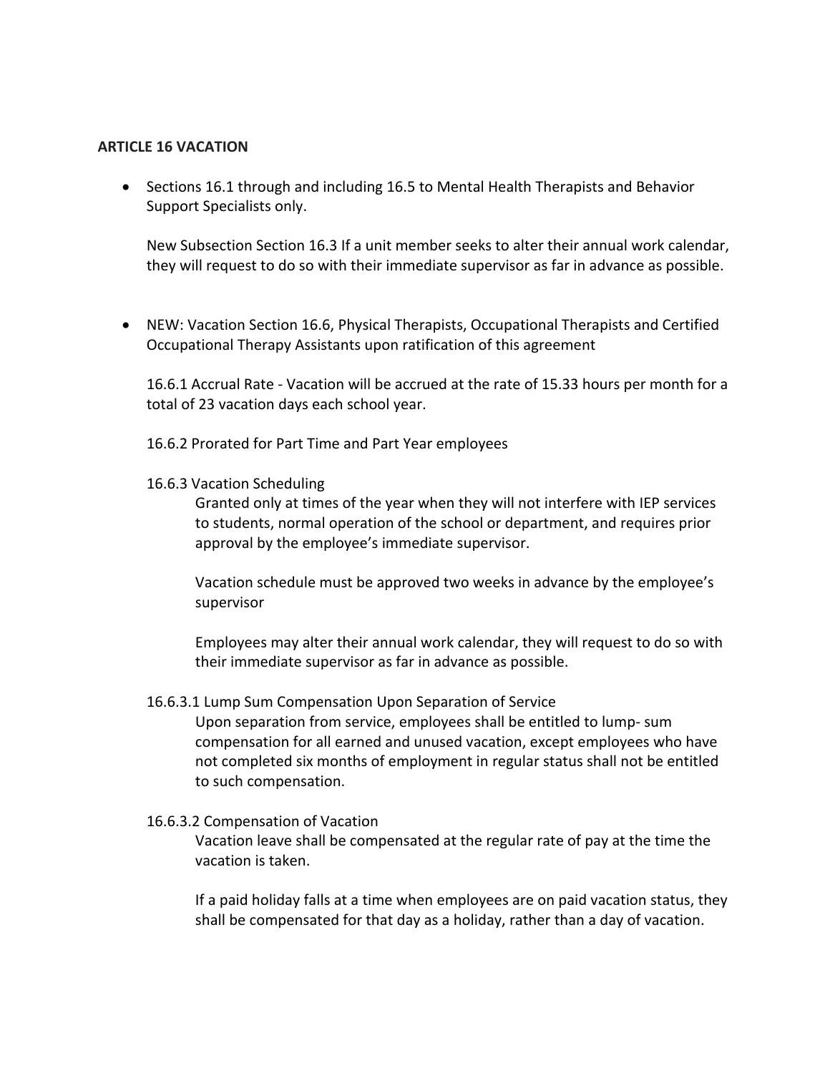#### **ARTICLE 16 VACATION**

• Sections 16.1 through and including 16.5 to Mental Health Therapists and Behavior Support Specialists only.

New Subsection Section 16.3 If a unit member seeks to alter their annual work calendar, they will request to do so with their immediate supervisor as far in advance as possible.

• NEW: Vacation Section 16.6, Physical Therapists, Occupational Therapists and Certified Occupational Therapy Assistants upon ratification of this agreement

16.6.1 Accrual Rate - Vacation will be accrued at the rate of 15.33 hours per month for a total of 23 vacation days each school year.

16.6.2 Prorated for Part Time and Part Year employees

16.6.3 Vacation Scheduling

Granted only at times of the year when they will not interfere with IEP services to students, normal operation of the school or department, and requires prior approval by the employee's immediate supervisor.

Vacation schedule must be approved two weeks in advance by the employee's supervisor

Employees may alter their annual work calendar, they will request to do so with their immediate supervisor as far in advance as possible.

#### 16.6.3.1 Lump Sum Compensation Upon Separation of Service

Upon separation from service, employees shall be entitled to lump- sum compensation for all earned and unused vacation, except employees who have not completed six months of employment in regular status shall not be entitled to such compensation.

#### 16.6.3.2 Compensation of Vacation

Vacation leave shall be compensated at the regular rate of pay at the time the vacation is taken.

If a paid holiday falls at a time when employees are on paid vacation status, they shall be compensated for that day as a holiday, rather than a day of vacation.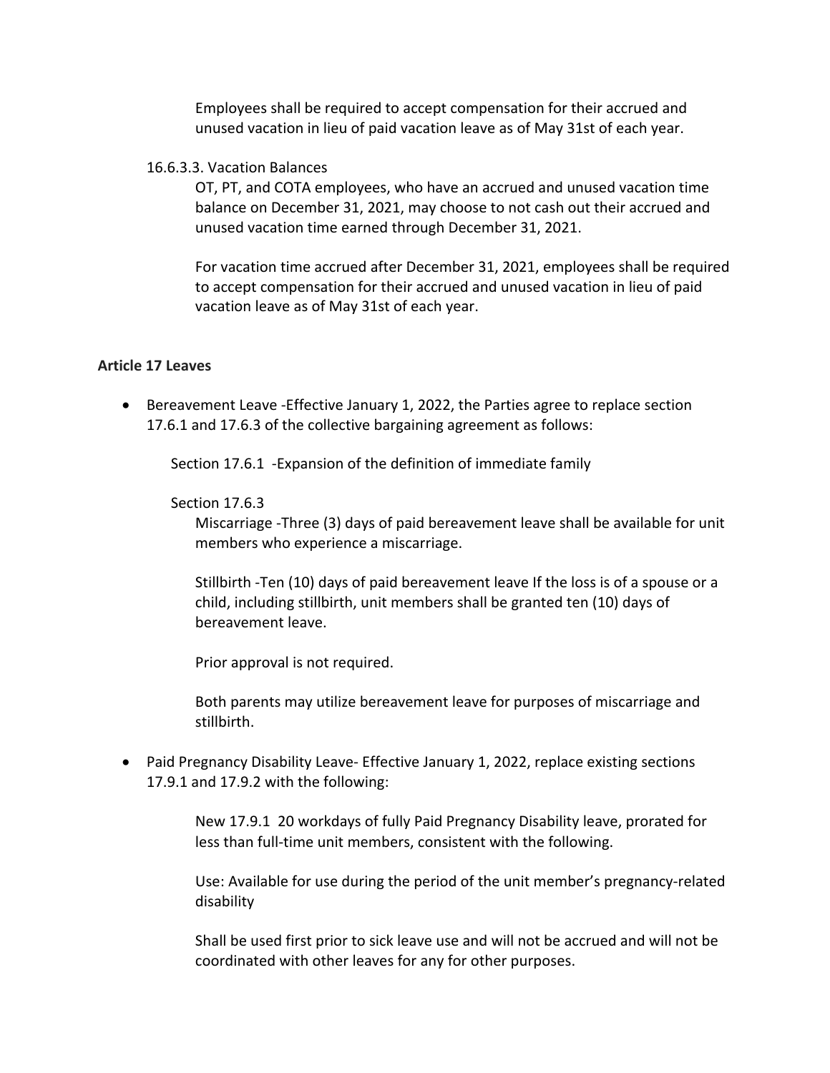Employees shall be required to accept compensation for their accrued and unused vacation in lieu of paid vacation leave as of May 31st of each year.

#### 16.6.3.3. Vacation Balances

OT, PT, and COTA employees, who have an accrued and unused vacation time balance on December 31, 2021, may choose to not cash out their accrued and unused vacation time earned through December 31, 2021.

For vacation time accrued after December 31, 2021, employees shall be required to accept compensation for their accrued and unused vacation in lieu of paid vacation leave as of May 31st of each year.

#### **Article 17 Leaves**

• Bereavement Leave -Effective January 1, 2022, the Parties agree to replace section 17.6.1 and 17.6.3 of the collective bargaining agreement as follows:

Section 17.6.1 -Expansion of the definition of immediate family

#### Section 17.6.3

Miscarriage -Three (3) days of paid bereavement leave shall be available for unit members who experience a miscarriage.

Stillbirth -Ten (10) days of paid bereavement leave If the loss is of a spouse or a child, including stillbirth, unit members shall be granted ten (10) days of bereavement leave.

Prior approval is not required.

Both parents may utilize bereavement leave for purposes of miscarriage and stillbirth.

• Paid Pregnancy Disability Leave- Effective January 1, 2022, replace existing sections 17.9.1 and 17.9.2 with the following:

> New 17.9.1 20 workdays of fully Paid Pregnancy Disability leave, prorated for less than full-time unit members, consistent with the following.

Use: Available for use during the period of the unit member's pregnancy-related disability

Shall be used first prior to sick leave use and will not be accrued and will not be coordinated with other leaves for any for other purposes.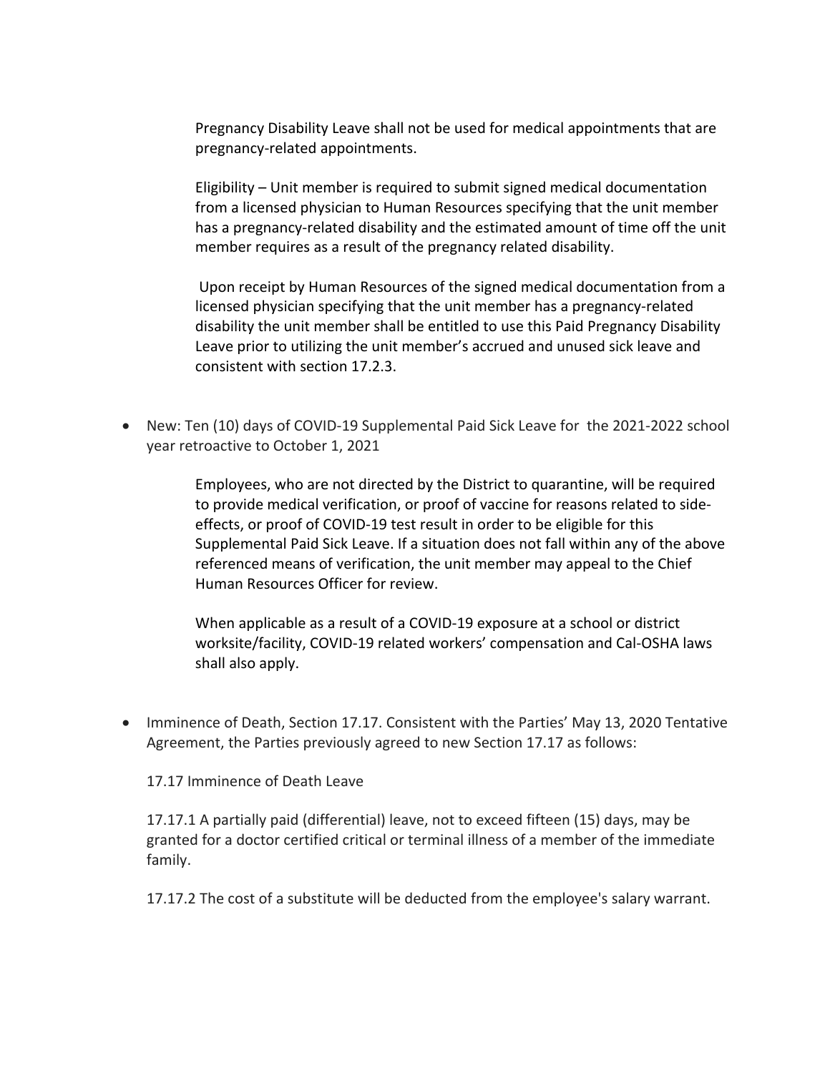Pregnancy Disability Leave shall not be used for medical appointments that are pregnancy-related appointments.

Eligibility – Unit member is required to submit signed medical documentation from a licensed physician to Human Resources specifying that the unit member has a pregnancy-related disability and the estimated amount of time off the unit member requires as a result of the pregnancy related disability.

Upon receipt by Human Resources of the signed medical documentation from a licensed physician specifying that the unit member has a pregnancy-related disability the unit member shall be entitled to use this Paid Pregnancy Disability Leave prior to utilizing the unit member's accrued and unused sick leave and consistent with section 17.2.3.

• New: Ten (10) days of COVID-19 Supplemental Paid Sick Leave for the 2021-2022 school year retroactive to October 1, 2021

> Employees, who are not directed by the District to quarantine, will be required to provide medical verification, or proof of vaccine for reasons related to sideeffects, or proof of COVID-19 test result in order to be eligible for this Supplemental Paid Sick Leave. If a situation does not fall within any of the above referenced means of verification, the unit member may appeal to the Chief Human Resources Officer for review.

When applicable as a result of a COVID-19 exposure at a school or district worksite/facility, COVID-19 related workers' compensation and Cal-OSHA laws shall also apply.

• Imminence of Death, Section 17.17. Consistent with the Parties' May 13, 2020 Tentative Agreement, the Parties previously agreed to new Section 17.17 as follows:

17.17 Imminence of Death Leave

17.17.1 A partially paid (differential) leave, not to exceed fifteen (15) days, may be granted for a doctor certified critical or terminal illness of a member of the immediate family.

17.17.2 The cost of a substitute will be deducted from the employee's salary warrant.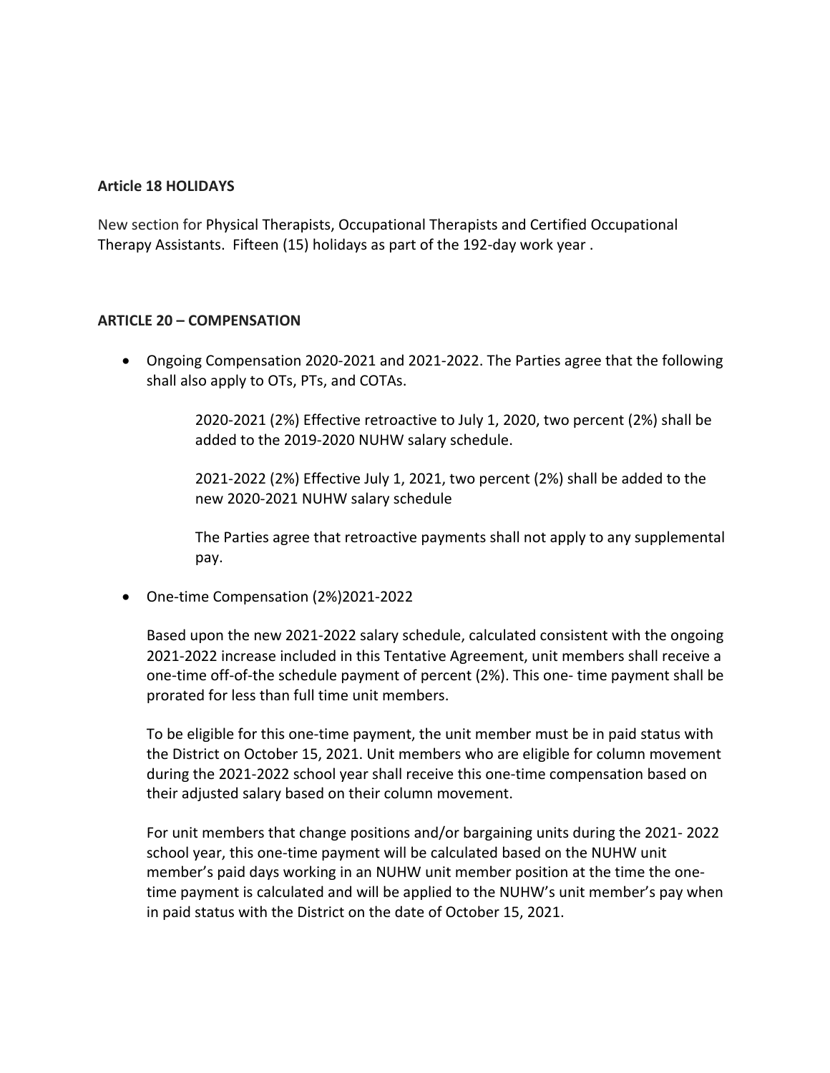## **Article 18 HOLIDAYS**

New section for Physical Therapists, Occupational Therapists and Certified Occupational Therapy Assistants. Fifteen (15) holidays as part of the 192-day work year .

### **ARTICLE 20 – COMPENSATION**

• Ongoing Compensation 2020-2021 and 2021-2022. The Parties agree that the following shall also apply to OTs, PTs, and COTAs.

> 2020-2021 (2%) Effective retroactive to July 1, 2020, two percent (2%) shall be added to the 2019-2020 NUHW salary schedule.

2021-2022 (2%) Effective July 1, 2021, two percent (2%) shall be added to the new 2020-2021 NUHW salary schedule

The Parties agree that retroactive payments shall not apply to any supplemental pay.

• One-time Compensation (2%)2021-2022

Based upon the new 2021-2022 salary schedule, calculated consistent with the ongoing 2021-2022 increase included in this Tentative Agreement, unit members shall receive a one-time off-of-the schedule payment of percent (2%). This one- time payment shall be prorated for less than full time unit members.

To be eligible for this one-time payment, the unit member must be in paid status with the District on October 15, 2021. Unit members who are eligible for column movement during the 2021-2022 school year shall receive this one-time compensation based on their adjusted salary based on their column movement.

For unit members that change positions and/or bargaining units during the 2021- 2022 school year, this one-time payment will be calculated based on the NUHW unit member's paid days working in an NUHW unit member position at the time the onetime payment is calculated and will be applied to the NUHW's unit member's pay when in paid status with the District on the date of October 15, 2021.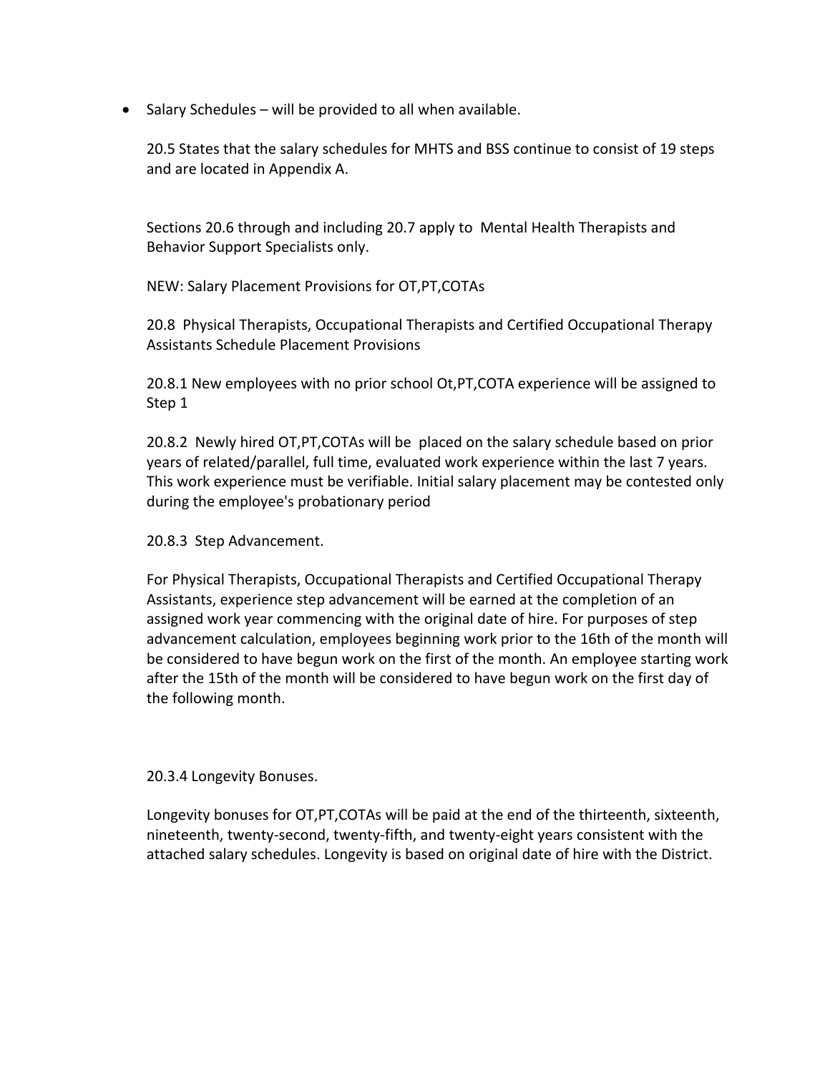• Salary Schedules – will be provided to all when available.

20.5 States that the salary schedules for MHTS and BSS continue to consist of 19 steps and are located in Appendix A.

Sections 20.6 through and including 20.7 apply to Mental Health Therapists and Behavior Support Specialists only.

NEW: Salary Placement Provisions for OT,PT,COTAs

20.8 Physical Therapists, Occupational Therapists and Certified Occupational Therapy Assistants Schedule Placement Provisions

20.8.1 New employees with no prior school Ot,PT,COTA experience will be assigned to Step 1

20.8.2 Newly hired OT,PT,COTAs will be placed on the salary schedule based on prior years of related/parallel, full time, evaluated work experience within the last 7 years. This work experience must be verifiable. Initial salary placement may be contested only during the employee's probationary period

20.8.3 Step Advancement.

For Physical Therapists, Occupational Therapists and Certified Occupational Therapy Assistants, experience step advancement will be earned at the completion of an assigned work year commencing with the original date of hire. For purposes of step advancement calculation, employees beginning work prior to the 16th of the month will be considered to have begun work on the first of the month. An employee starting work after the 15th of the month will be considered to have begun work on the first day of the following month.

20.3.4 Longevity Bonuses.

Longevity bonuses for OT,PT,COTAs will be paid at the end of the thirteenth, sixteenth, nineteenth, twenty-second, twenty-fifth, and twenty-eight years consistent with the attached salary schedules. Longevity is based on original date of hire with the District.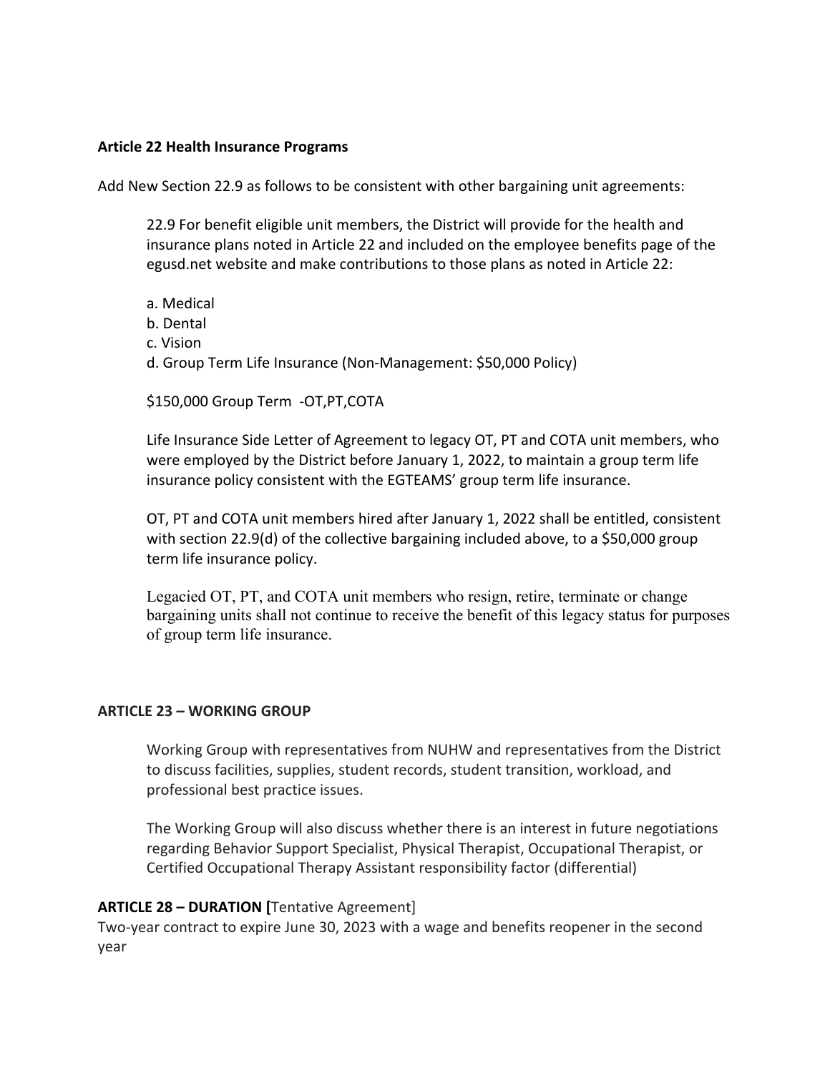#### **Article 22 Health Insurance Programs**

Add New Section 22.9 as follows to be consistent with other bargaining unit agreements:

22.9 For benefit eligible unit members, the District will provide for the health and insurance plans noted in Article 22 and included on the employee benefits page of the egusd.net website and make contributions to those plans as noted in Article 22:

- a. Medical
- b. Dental
- c. Vision
- d. Group Term Life Insurance (Non-Management: \$50,000 Policy)

\$150,000 Group Term -OT,PT,COTA

Life Insurance Side Letter of Agreement to legacy OT, PT and COTA unit members, who were employed by the District before January 1, 2022, to maintain a group term life insurance policy consistent with the EGTEAMS' group term life insurance.

OT, PT and COTA unit members hired after January 1, 2022 shall be entitled, consistent with section 22.9(d) of the collective bargaining included above, to a \$50,000 group term life insurance policy.

Legacied OT, PT, and COTA unit members who resign, retire, terminate or change bargaining units shall not continue to receive the benefit of this legacy status for purposes of group term life insurance.

### **ARTICLE 23 – WORKING GROUP**

Working Group with representatives from NUHW and representatives from the District to discuss facilities, supplies, student records, student transition, workload, and professional best practice issues.

The Working Group will also discuss whether there is an interest in future negotiations regarding Behavior Support Specialist, Physical Therapist, Occupational Therapist, or Certified Occupational Therapy Assistant responsibility factor (differential)

### **ARTICLE 28 – DURATION [**Tentative Agreement]

Two-year contract to expire June 30, 2023 with a wage and benefits reopener in the second year